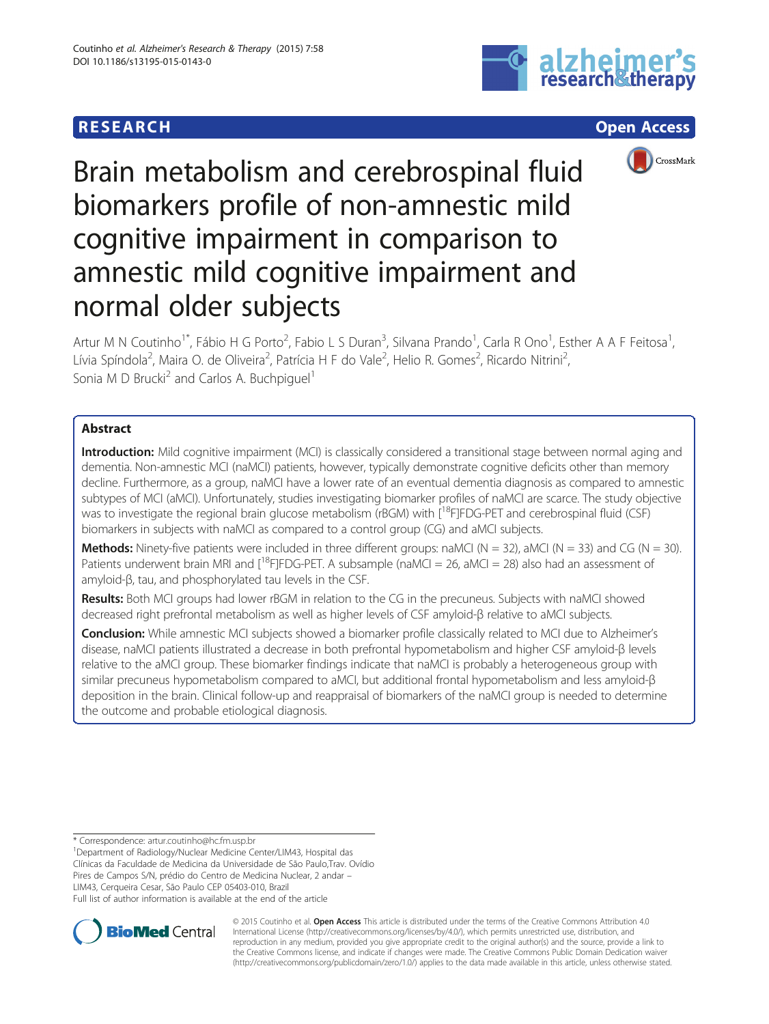# **RESEARCH CHILD CONTROL** CONTROL CONTROL CONTROL CONTROL CONTROL CONTROL CONTROL CONTROL CONTROL CONTROL CONTROL CONTROL CONTROL CONTROL CONTROL CONTROL CONTROL CONTROL CONTROL CONTROL CONTROL CONTROL CONTROL CONTROL CONTR





Brain metabolism and cerebrospinal fluid biomarkers profile of non-amnestic mild cognitive impairment in comparison to amnestic mild cognitive impairment and normal older subjects

Artur M N Coutinho<sup>1\*</sup>, Fábio H G Porto<sup>2</sup>, Fabio L S Duran<sup>3</sup>, Silvana Prando<sup>1</sup>, Carla R Ono<sup>1</sup>, Esther A A F Feitosa<sup>1</sup> , Lívia Spíndola<sup>2</sup>, Maira O. de Oliveira<sup>2</sup>, Patrícia H F do Vale<sup>2</sup>, Helio R. Gomes<sup>2</sup>, Ricardo Nitrini<sup>2</sup> , Sonia M D Brucki<sup>2</sup> and Carlos A. Buchpiquel<sup>1</sup>

# Abstract

Introduction: Mild cognitive impairment (MCI) is classically considered a transitional stage between normal aging and dementia. Non-amnestic MCI (naMCI) patients, however, typically demonstrate cognitive deficits other than memory decline. Furthermore, as a group, naMCI have a lower rate of an eventual dementia diagnosis as compared to amnestic subtypes of MCI (aMCI). Unfortunately, studies investigating biomarker profiles of naMCI are scarce. The study objective was to investigate the regional brain glucose metabolism (rBGM) with [<sup>18</sup>F]FDG-PET and cerebrospinal fluid (CSF) biomarkers in subjects with naMCI as compared to a control group (CG) and aMCI subjects.

**Methods:** Ninety-five patients were included in three different groups: naMCI (N = 32), aMCI (N = 33) and CG (N = 30). Patients underwent brain MRI and  $[^{18}F]FDG-PET. A subsample (naMCI = 26, aMCI = 28)$  also had an assessment of amyloid-β, tau, and phosphorylated tau levels in the CSF.

Results: Both MCI groups had lower rBGM in relation to the CG in the precuneus. Subjects with naMCI showed decreased right prefrontal metabolism as well as higher levels of CSF amyloid-β relative to aMCI subjects.

Conclusion: While amnestic MCI subjects showed a biomarker profile classically related to MCI due to Alzheimer's disease, naMCI patients illustrated a decrease in both prefrontal hypometabolism and higher CSF amyloid-β levels relative to the aMCI group. These biomarker findings indicate that naMCI is probably a heterogeneous group with similar precuneus hypometabolism compared to aMCI, but additional frontal hypometabolism and less amyloid-β deposition in the brain. Clinical follow-up and reappraisal of biomarkers of the naMCI group is needed to determine the outcome and probable etiological diagnosis.

\* Correspondence: [artur.coutinho@hc.fm.usp.br](mailto:artur.coutinho@hc.fm.usp.br) <sup>1</sup>

<sup>1</sup>Department of Radiology/Nuclear Medicine Center/LIM43, Hospital das

Clínicas da Faculdade de Medicina da Universidade de São Paulo,Trav. Ovídio Pires de Campos S/N, prédio do Centro de Medicina Nuclear, 2 andar –

LIM43, Cerqueira Cesar, São Paulo CEP 05403-010, Brazil

Full list of author information is available at the end of the article



© 2015 Coutinho et al. Open Access This article is distributed under the terms of the Creative Commons Attribution 4.0 International License [\(http://creativecommons.org/licenses/by/4.0/](http://creativecommons.org/licenses/by/4.0/)), which permits unrestricted use, distribution, and reproduction in any medium, provided you give appropriate credit to the original author(s) and the source, provide a link to the Creative Commons license, and indicate if changes were made. The Creative Commons Public Domain Dedication waiver [\(http://creativecommons.org/publicdomain/zero/1.0/](http://creativecommons.org/publicdomain/zero/1.0/)) applies to the data made available in this article, unless otherwise stated.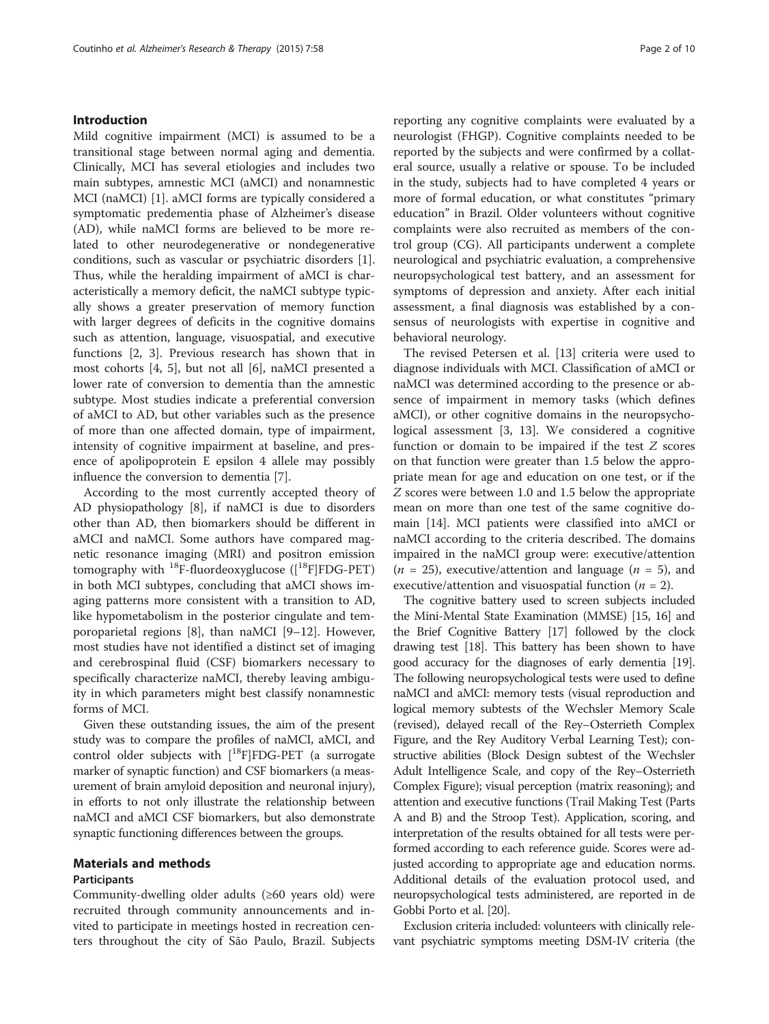### Introduction

Mild cognitive impairment (MCI) is assumed to be a transitional stage between normal aging and dementia. Clinically, MCI has several etiologies and includes two main subtypes, amnestic MCI (aMCI) and nonamnestic MCI (naMCI) [\[1](#page-7-0)]. aMCI forms are typically considered a symptomatic predementia phase of Alzheimer's disease (AD), while naMCI forms are believed to be more related to other neurodegenerative or nondegenerative conditions, such as vascular or psychiatric disorders [\[1](#page-7-0)]. Thus, while the heralding impairment of aMCI is characteristically a memory deficit, the naMCI subtype typically shows a greater preservation of memory function with larger degrees of deficits in the cognitive domains such as attention, language, visuospatial, and executive functions [\[2](#page-7-0), [3](#page-7-0)]. Previous research has shown that in most cohorts [[4, 5\]](#page-7-0), but not all [[6\]](#page-8-0), naMCI presented a lower rate of conversion to dementia than the amnestic subtype. Most studies indicate a preferential conversion of aMCI to AD, but other variables such as the presence of more than one affected domain, type of impairment, intensity of cognitive impairment at baseline, and presence of apolipoprotein E epsilon 4 allele may possibly influence the conversion to dementia [\[7](#page-8-0)].

According to the most currently accepted theory of AD physiopathology [[8\]](#page-8-0), if naMCI is due to disorders other than AD, then biomarkers should be different in aMCI and naMCI. Some authors have compared magnetic resonance imaging (MRI) and positron emission tomography with  $^{18}$ F-fluordeoxyglucose ([ $^{18}$ F]FDG-PET) in both MCI subtypes, concluding that aMCI shows imaging patterns more consistent with a transition to AD, like hypometabolism in the posterior cingulate and temporoparietal regions [[8\]](#page-8-0), than naMCI [\[9](#page-8-0)–[12\]](#page-8-0). However, most studies have not identified a distinct set of imaging and cerebrospinal fluid (CSF) biomarkers necessary to specifically characterize naMCI, thereby leaving ambiguity in which parameters might best classify nonamnestic forms of MCI.

Given these outstanding issues, the aim of the present study was to compare the profiles of naMCI, aMCI, and control older subjects with  $[$ <sup>18</sup>F]FDG-PET (a surrogate marker of synaptic function) and CSF biomarkers (a measurement of brain amyloid deposition and neuronal injury), in efforts to not only illustrate the relationship between naMCI and aMCI CSF biomarkers, but also demonstrate synaptic functioning differences between the groups.

# Materials and methods

### Participants

Community-dwelling older adults (≥60 years old) were recruited through community announcements and invited to participate in meetings hosted in recreation centers throughout the city of São Paulo, Brazil. Subjects reporting any cognitive complaints were evaluated by a neurologist (FHGP). Cognitive complaints needed to be reported by the subjects and were confirmed by a collateral source, usually a relative or spouse. To be included in the study, subjects had to have completed 4 years or more of formal education, or what constitutes "primary education" in Brazil. Older volunteers without cognitive complaints were also recruited as members of the control group (CG). All participants underwent a complete neurological and psychiatric evaluation, a comprehensive neuropsychological test battery, and an assessment for symptoms of depression and anxiety. After each initial assessment, a final diagnosis was established by a consensus of neurologists with expertise in cognitive and behavioral neurology.

The revised Petersen et al. [\[13](#page-8-0)] criteria were used to diagnose individuals with MCI. Classification of aMCI or naMCI was determined according to the presence or absence of impairment in memory tasks (which defines aMCI), or other cognitive domains in the neuropsychological assessment [[3,](#page-7-0) [13](#page-8-0)]. We considered a cognitive function or domain to be impaired if the test Z scores on that function were greater than 1.5 below the appropriate mean for age and education on one test, or if the Z scores were between 1.0 and 1.5 below the appropriate mean on more than one test of the same cognitive domain [\[14](#page-8-0)]. MCI patients were classified into aMCI or naMCI according to the criteria described. The domains impaired in the naMCI group were: executive/attention  $(n = 25)$ , executive/attention and language  $(n = 5)$ , and executive/attention and visuospatial function ( $n = 2$ ).

The cognitive battery used to screen subjects included the Mini-Mental State Examination (MMSE) [\[15, 16](#page-8-0)] and the Brief Cognitive Battery [\[17\]](#page-8-0) followed by the clock drawing test [[18](#page-8-0)]. This battery has been shown to have good accuracy for the diagnoses of early dementia [\[19](#page-8-0)]. The following neuropsychological tests were used to define naMCI and aMCI: memory tests (visual reproduction and logical memory subtests of the Wechsler Memory Scale (revised), delayed recall of the Rey–Osterrieth Complex Figure, and the Rey Auditory Verbal Learning Test); constructive abilities (Block Design subtest of the Wechsler Adult Intelligence Scale, and copy of the Rey–Osterrieth Complex Figure); visual perception (matrix reasoning); and attention and executive functions (Trail Making Test (Parts A and B) and the Stroop Test). Application, scoring, and interpretation of the results obtained for all tests were performed according to each reference guide. Scores were adjusted according to appropriate age and education norms. Additional details of the evaluation protocol used, and neuropsychological tests administered, are reported in de Gobbi Porto et al. [[20](#page-8-0)].

Exclusion criteria included: volunteers with clinically relevant psychiatric symptoms meeting DSM-IV criteria (the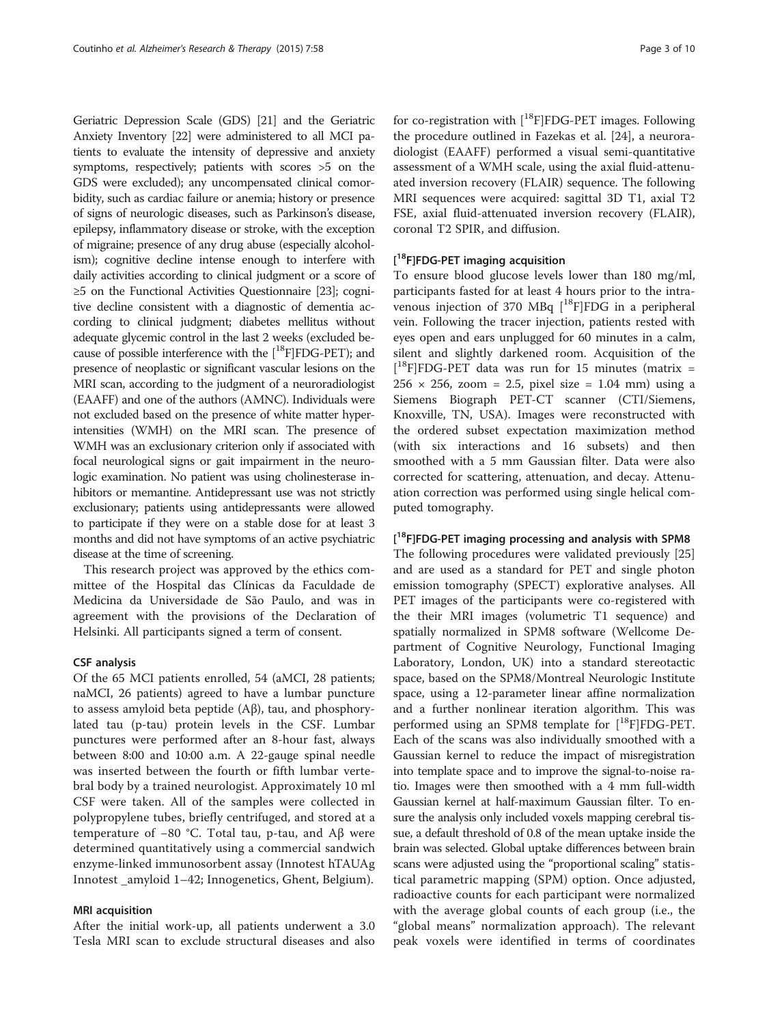Geriatric Depression Scale (GDS) [\[21](#page-8-0)] and the Geriatric Anxiety Inventory [\[22](#page-8-0)] were administered to all MCI patients to evaluate the intensity of depressive and anxiety symptoms, respectively; patients with scores >5 on the GDS were excluded); any uncompensated clinical comorbidity, such as cardiac failure or anemia; history or presence of signs of neurologic diseases, such as Parkinson's disease, epilepsy, inflammatory disease or stroke, with the exception of migraine; presence of any drug abuse (especially alcoholism); cognitive decline intense enough to interfere with daily activities according to clinical judgment or a score of ≥5 on the Functional Activities Questionnaire [[23](#page-8-0)]; cognitive decline consistent with a diagnostic of dementia according to clinical judgment; diabetes mellitus without adequate glycemic control in the last 2 weeks (excluded because of possible interference with the  $[$ <sup>18</sup>F]FDG-PET); and presence of neoplastic or significant vascular lesions on the MRI scan, according to the judgment of a neuroradiologist (EAAFF) and one of the authors (AMNC). Individuals were not excluded based on the presence of white matter hyperintensities (WMH) on the MRI scan. The presence of WMH was an exclusionary criterion only if associated with focal neurological signs or gait impairment in the neurologic examination. No patient was using cholinesterase inhibitors or memantine. Antidepressant use was not strictly exclusionary; patients using antidepressants were allowed to participate if they were on a stable dose for at least 3 months and did not have symptoms of an active psychiatric disease at the time of screening.

This research project was approved by the ethics committee of the Hospital das Clínicas da Faculdade de Medicina da Universidade de São Paulo, and was in agreement with the provisions of the Declaration of Helsinki. All participants signed a term of consent.

### CSF analysis

Of the 65 MCI patients enrolled, 54 (aMCI, 28 patients; naMCI, 26 patients) agreed to have a lumbar puncture to assess amyloid beta peptide (Aβ), tau, and phosphorylated tau (p-tau) protein levels in the CSF. Lumbar punctures were performed after an 8-hour fast, always between 8:00 and 10:00 a.m. A 22-gauge spinal needle was inserted between the fourth or fifth lumbar vertebral body by a trained neurologist. Approximately 10 ml CSF were taken. All of the samples were collected in polypropylene tubes, briefly centrifuged, and stored at a temperature of −80 °C. Total tau, p-tau, and Aβ were determined quantitatively using a commercial sandwich enzyme-linked immunosorbent assay (Innotest hTAUAg Innotest \_amyloid 1–42; Innogenetics, Ghent, Belgium).

### MRI acquisition

After the initial work-up, all patients underwent a 3.0 Tesla MRI scan to exclude structural diseases and also

for co-registration with  $[$ <sup>18</sup>F]FDG-PET images. Following the procedure outlined in Fazekas et al. [\[24](#page-8-0)], a neuroradiologist (EAAFF) performed a visual semi-quantitative assessment of a WMH scale, using the axial fluid-attenuated inversion recovery (FLAIR) sequence. The following MRI sequences were acquired: sagittal 3D T1, axial T2 FSE, axial fluid-attenuated inversion recovery (FLAIR), coronal T2 SPIR, and diffusion.

# [<sup>18</sup>F]FDG-PET imaging acquisition

To ensure blood glucose levels lower than 180 mg/ml, participants fasted for at least 4 hours prior to the intravenous injection of 370 MBq  $[^{18}F]FDG$  in a peripheral vein. Following the tracer injection, patients rested with eyes open and ears unplugged for 60 minutes in a calm, silent and slightly darkened room. Acquisition of the [ 18F]FDG-PET data was run for 15 minutes (matrix =  $256 \times 256$ , zoom = 2.5, pixel size = 1.04 mm) using a Siemens Biograph PET-CT scanner (CTI/Siemens, Knoxville, TN, USA). Images were reconstructed with the ordered subset expectation maximization method (with six interactions and 16 subsets) and then smoothed with a 5 mm Gaussian filter. Data were also corrected for scattering, attenuation, and decay. Attenuation correction was performed using single helical computed tomography.

# [<sup>18</sup>F]FDG-PET imaging processing and analysis with SPM8

The following procedures were validated previously [[25](#page-8-0)] and are used as a standard for PET and single photon emission tomography (SPECT) explorative analyses. All PET images of the participants were co-registered with the their MRI images (volumetric T1 sequence) and spatially normalized in SPM8 software (Wellcome Department of Cognitive Neurology, Functional Imaging Laboratory, London, UK) into a standard stereotactic space, based on the SPM8/Montreal Neurologic Institute space, using a 12-parameter linear affine normalization and a further nonlinear iteration algorithm. This was performed using an SPM8 template for  $[^{18}F]$ FDG-PET. Each of the scans was also individually smoothed with a Gaussian kernel to reduce the impact of misregistration into template space and to improve the signal-to-noise ratio. Images were then smoothed with a 4 mm full-width Gaussian kernel at half-maximum Gaussian filter. To ensure the analysis only included voxels mapping cerebral tissue, a default threshold of 0.8 of the mean uptake inside the brain was selected. Global uptake differences between brain scans were adjusted using the "proportional scaling" statistical parametric mapping (SPM) option. Once adjusted, radioactive counts for each participant were normalized with the average global counts of each group (i.e., the "global means" normalization approach). The relevant peak voxels were identified in terms of coordinates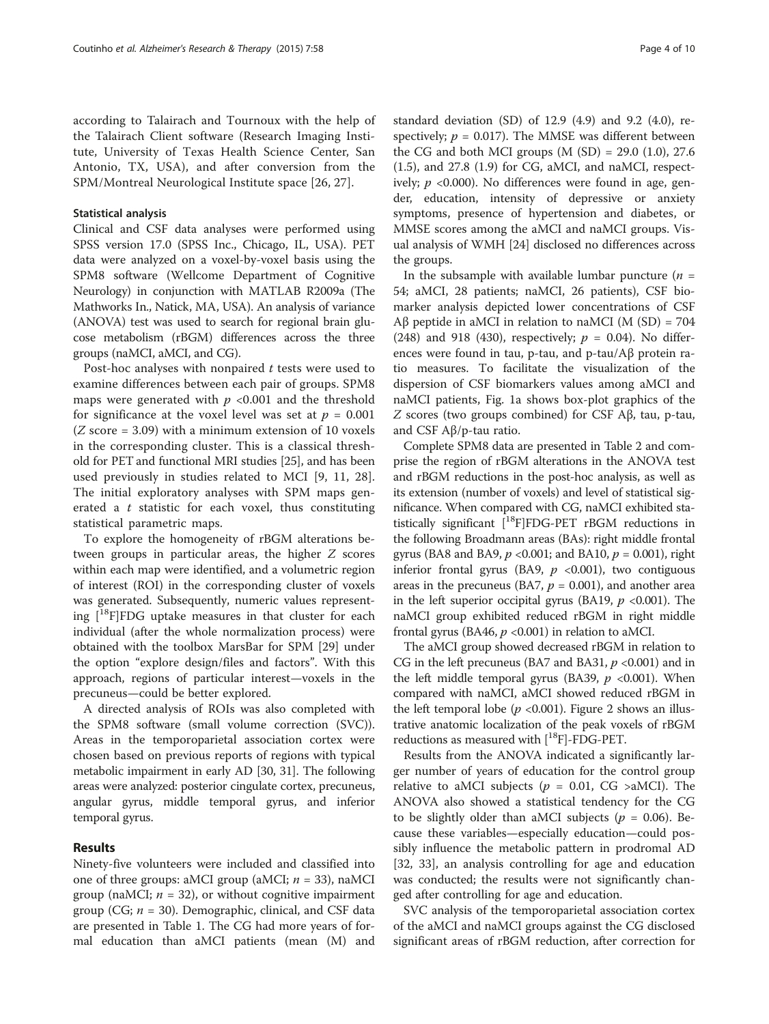according to Talairach and Tournoux with the help of the Talairach Client software (Research Imaging Institute, University of Texas Health Science Center, San Antonio, TX, USA), and after conversion from the SPM/Montreal Neurological Institute space [[26, 27\]](#page-8-0).

### Statistical analysis

Clinical and CSF data analyses were performed using SPSS version 17.0 (SPSS Inc., Chicago, IL, USA). PET data were analyzed on a voxel-by-voxel basis using the SPM8 software (Wellcome Department of Cognitive Neurology) in conjunction with MATLAB R2009a (The Mathworks In., Natick, MA, USA). An analysis of variance (ANOVA) test was used to search for regional brain glucose metabolism (rBGM) differences across the three groups (naMCI, aMCI, and CG).

Post-hoc analyses with nonpaired  $t$  tests were used to examine differences between each pair of groups. SPM8 maps were generated with  $p \le 0.001$  and the threshold for significance at the voxel level was set at  $p = 0.001$  $(Z\$ score = 3.09) with a minimum extension of 10 voxels in the corresponding cluster. This is a classical threshold for PET and functional MRI studies [\[25\]](#page-8-0), and has been used previously in studies related to MCI [[9, 11](#page-8-0), [28](#page-8-0)]. The initial exploratory analyses with SPM maps generated a  $t$  statistic for each voxel, thus constituting statistical parametric maps.

To explore the homogeneity of rBGM alterations between groups in particular areas, the higher Z scores within each map were identified, and a volumetric region of interest (ROI) in the corresponding cluster of voxels was generated. Subsequently, numeric values representing  $[$ <sup>18</sup>F $]$ FDG uptake measures in that cluster for each individual (after the whole normalization process) were obtained with the toolbox MarsBar for SPM [[29\]](#page-8-0) under the option "explore design/files and factors". With this approach, regions of particular interest—voxels in the precuneus—could be better explored.

A directed analysis of ROIs was also completed with the SPM8 software (small volume correction (SVC)). Areas in the temporoparietal association cortex were chosen based on previous reports of regions with typical metabolic impairment in early AD [[30, 31](#page-8-0)]. The following areas were analyzed: posterior cingulate cortex, precuneus, angular gyrus, middle temporal gyrus, and inferior temporal gyrus.

### Results

Ninety-five volunteers were included and classified into one of three groups: aMCI group (aMCI;  $n = 33$ ), naMCI group (naMCI;  $n = 32$ ), or without cognitive impairment group (CG;  $n = 30$ ). Demographic, clinical, and CSF data are presented in Table [1](#page-4-0). The CG had more years of formal education than aMCI patients (mean (M) and

standard deviation (SD) of 12.9 (4.9) and 9.2 (4.0), respectively;  $p = 0.017$ ). The MMSE was different between the CG and both MCI groups  $(M (SD) = 29.0 (1.0), 27.6)$ (1.5), and 27.8 (1.9) for CG, aMCI, and naMCI, respectively;  $p \le 0.000$ ). No differences were found in age, gender, education, intensity of depressive or anxiety symptoms, presence of hypertension and diabetes, or MMSE scores among the aMCI and naMCI groups. Visual analysis of WMH [\[24](#page-8-0)] disclosed no differences across the groups.

In the subsample with available lumbar puncture  $(n =$ 54; aMCI, 28 patients; naMCI, 26 patients), CSF biomarker analysis depicted lower concentrations of CSF Aβ peptide in aMCI in relation to naMCI (M  $(SD) = 704$ (248) and 918 (430), respectively;  $p = 0.04$ ). No differences were found in tau, p-tau, and p-tau/Aβ protein ratio measures. To facilitate the visualization of the dispersion of CSF biomarkers values among aMCI and naMCI patients, Fig. [1a](#page-5-0) shows box-plot graphics of the Z scores (two groups combined) for CSF Aβ, tau, p-tau, and CSF Aβ/p-tau ratio.

Complete SPM8 data are presented in Table [2](#page-5-0) and comprise the region of rBGM alterations in the ANOVA test and rBGM reductions in the post-hoc analysis, as well as its extension (number of voxels) and level of statistical significance. When compared with CG, naMCI exhibited statistically significant [18F]FDG-PET rBGM reductions in the following Broadmann areas (BAs): right middle frontal gyrus (BA8 and BA9,  $p < 0.001$ ; and BA10,  $p = 0.001$ ), right inferior frontal gyrus (BA9,  $p \le 0.001$ ), two contiguous areas in the precuneus (BA7,  $p = 0.001$ ), and another area in the left superior occipital gyrus (BA19,  $p \le 0.001$ ). The naMCI group exhibited reduced rBGM in right middle frontal gyrus (BA46,  $p \text{ <0.001}$ ) in relation to aMCI.

The aMCI group showed decreased rBGM in relation to CG in the left precuneus (BA7 and BA31,  $p \le 0.001$ ) and in the left middle temporal gyrus (BA39,  $p \le 0.001$ ). When compared with naMCI, aMCI showed reduced rBGM in the left temporal lobe ( $p$  <0.001). Figure [2](#page-6-0) shows an illustrative anatomic localization of the peak voxels of rBGM reductions as measured with  $[{}^{18}F]$ -FDG-PET.

Results from the ANOVA indicated a significantly larger number of years of education for the control group relative to aMCI subjects ( $p = 0.01$ , CG >aMCI). The ANOVA also showed a statistical tendency for the CG to be slightly older than aMCI subjects ( $p = 0.06$ ). Because these variables—especially education—could possibly influence the metabolic pattern in prodromal AD [[32, 33](#page-8-0)], an analysis controlling for age and education was conducted; the results were not significantly changed after controlling for age and education.

SVC analysis of the temporoparietal association cortex of the aMCI and naMCI groups against the CG disclosed significant areas of rBGM reduction, after correction for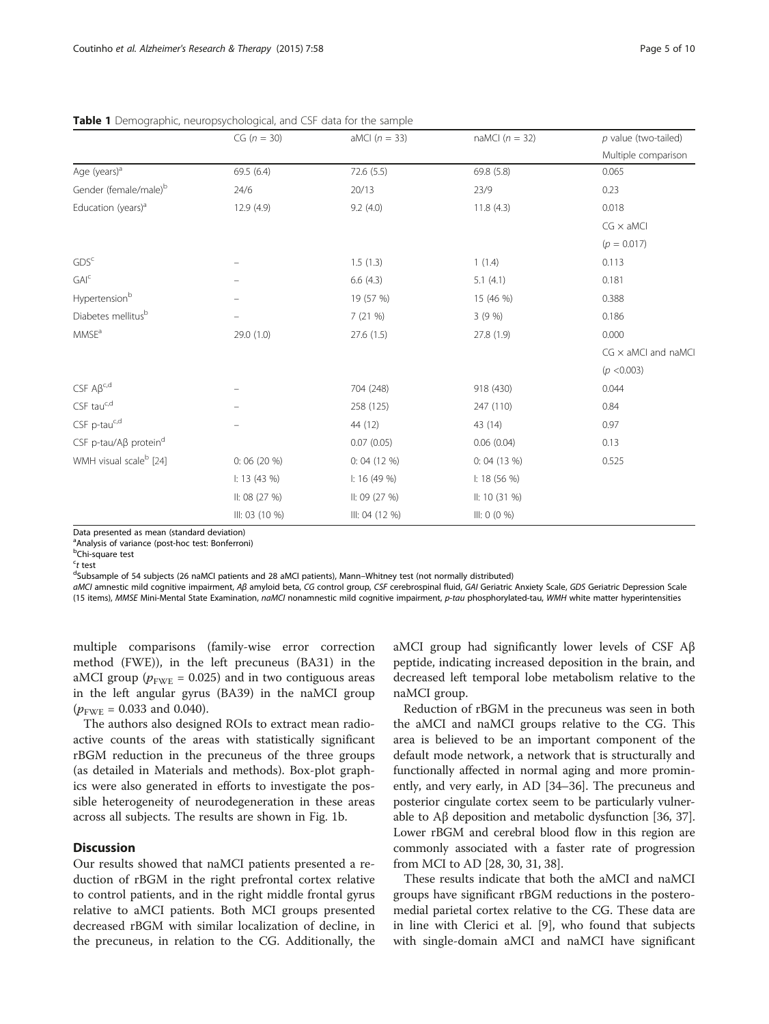|                                    | $CG (n = 30)$  | aMCI $(n = 33)$       | naMCI $(n = 32)$ | $p$ value (two-tailed)     |  |
|------------------------------------|----------------|-----------------------|------------------|----------------------------|--|
|                                    |                |                       |                  | Multiple comparison        |  |
| Age (years) <sup>a</sup>           | 69.5 (6.4)     | 72.6(5.5)             | 69.8 (5.8)       | 0.065                      |  |
| Gender (female/male) <sup>b</sup>  | 24/6           | 20/13                 | 23/9             | 0.23                       |  |
| Education (years) <sup>a</sup>     | 12.9 (4.9)     | 11.8(4.3)<br>9.2(4.0) |                  | 0.018                      |  |
|                                    |                |                       |                  | $CG \times aMC$            |  |
|                                    |                |                       |                  | $(p = 0.017)$              |  |
| GDS <sup>c</sup>                   |                | 1.5(1.3)              | 1(1.4)           | 0.113                      |  |
| $GAI^c$                            |                | 6.6(4.3)              | 5.1(4.1)         | 0.181                      |  |
| Hypertensionb                      |                | 19 (57 %)             | 15 (46 %)        | 0.388                      |  |
| Diabetes mellitus <sup>b</sup>     |                | 7 (21 %)              | 3(9%)            | 0.186                      |  |
| MMSE <sup>a</sup>                  | 29.0 (1.0)     | 27.6(1.5)             | 27.8 (1.9)       | 0.000                      |  |
|                                    |                |                       |                  | $CG \times aMCI$ and naMCI |  |
|                                    |                |                       |                  | (p < 0.003)                |  |
| $CSF A\beta^{c,d}$                 |                | 704 (248)             | 918 (430)        | 0.044                      |  |
| CSF tauc,d                         |                | 258 (125)             | 247 (110)        | 0.84                       |  |
| $CSF$ p-tauc,d                     |                | 44 (12)               | 43 (14)          | 0.97                       |  |
| CSF p-tau/Aβ protein <sup>d</sup>  |                | 0.07(0.05)            | 0.06(0.04)       | 0.13                       |  |
| WMH visual scale <sup>b</sup> [24] | 0:06(20%)      | 0:04(12%)             | 0:04(13%)        | 0.525                      |  |
|                                    | 1: 13(43%)     | 1: 16(49%)            | 1: 18(56%)       |                            |  |
|                                    | II: 08(27%)    | II: 09(27%)           | II: 10(31%)      |                            |  |
|                                    | III: 03 (10 %) | III: 04 (12 %)        | III: 0 (0 %)     |                            |  |

<span id="page-4-0"></span>Table 1 Demographic, neuropsychological, and CSF data for the sample

Data presented as mean (standard deviation)

<sup>a</sup>Analysis of variance (post-hoc test: Bonferroni)

<sup>b</sup>Chi-square test  $ct$  test

<sup>c</sup>t test<br><sup>d</sup>Subsample of 54 subjects (26 naMCI patients and 28 aMCI patients), Mann–Whitney test (not normally distributed)

aMCI amnestic mild cognitive impairment, Aβ amyloid beta, CG control group, CSF cerebrospinal fluid, GAI Geriatric Anxiety Scale, GDS Geriatric Depression Scale (15 items), MMSE Mini-Mental State Examination, naMCI nonamnestic mild cognitive impairment, p-tau phosphorylated-tau, WMH white matter hyperintensities

multiple comparisons (family-wise error correction method (FWE)), in the left precuneus (BA31) in the aMCI group ( $p_{\text{FWE}}$  = 0.025) and in two contiguous areas in the left angular gyrus (BA39) in the naMCI group  $(p_{\text{FWE}} = 0.033$  and 0.040).

The authors also designed ROIs to extract mean radioactive counts of the areas with statistically significant rBGM reduction in the precuneus of the three groups (as detailed in Materials and methods). Box-plot graphics were also generated in efforts to investigate the possible heterogeneity of neurodegeneration in these areas across all subjects. The results are shown in Fig. [1b.](#page-5-0)

# **Discussion**

Our results showed that naMCI patients presented a reduction of rBGM in the right prefrontal cortex relative to control patients, and in the right middle frontal gyrus relative to aMCI patients. Both MCI groups presented decreased rBGM with similar localization of decline, in the precuneus, in relation to the CG. Additionally, the

aMCI group had significantly lower levels of CSF Aβ peptide, indicating increased deposition in the brain, and decreased left temporal lobe metabolism relative to the naMCI group.

Reduction of rBGM in the precuneus was seen in both the aMCI and naMCI groups relative to the CG. This area is believed to be an important component of the default mode network, a network that is structurally and functionally affected in normal aging and more prominently, and very early, in AD [\[34](#page-8-0)–[36\]](#page-8-0). The precuneus and posterior cingulate cortex seem to be particularly vulnerable to Aβ deposition and metabolic dysfunction [[36](#page-8-0), [37](#page-8-0)]. Lower rBGM and cerebral blood flow in this region are commonly associated with a faster rate of progression from MCI to AD [[28](#page-8-0), [30, 31, 38](#page-8-0)].

These results indicate that both the aMCI and naMCI groups have significant rBGM reductions in the posteromedial parietal cortex relative to the CG. These data are in line with Clerici et al. [[9\]](#page-8-0), who found that subjects with single-domain aMCI and naMCI have significant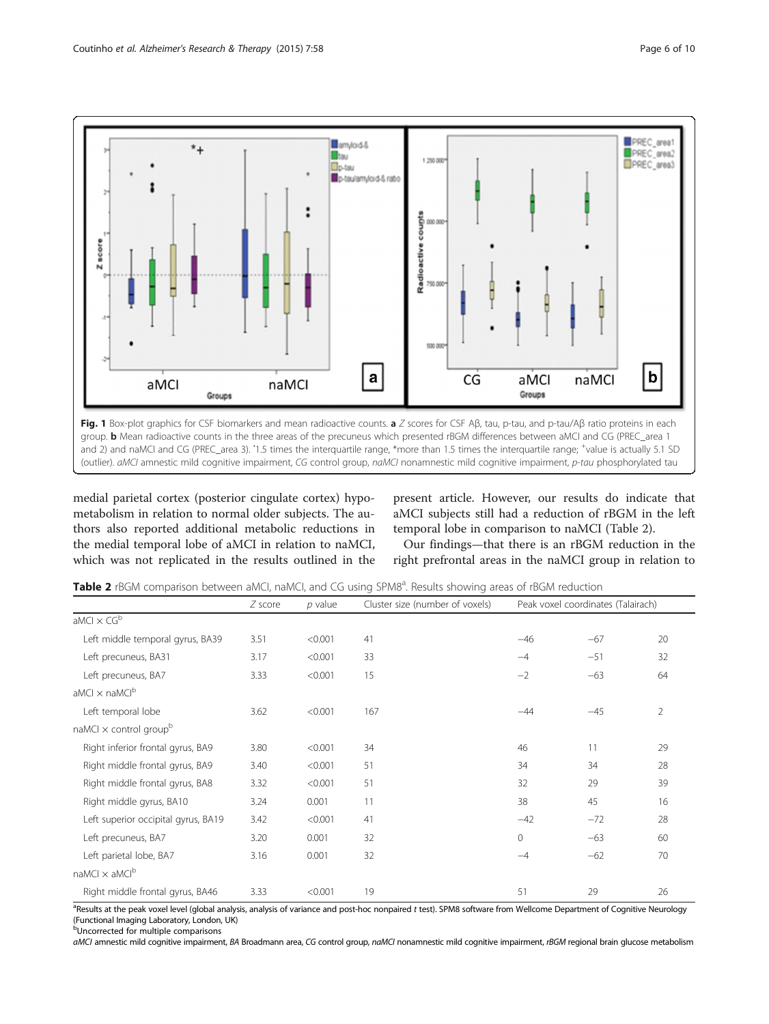<span id="page-5-0"></span>

medial parietal cortex (posterior cingulate cortex) hypometabolism in relation to normal older subjects. The authors also reported additional metabolic reductions in the medial temporal lobe of aMCI in relation to naMCI, which was not replicated in the results outlined in the present article. However, our results do indicate that aMCI subjects still had a reduction of rBGM in the left temporal lobe in comparison to naMCI (Table 2).

Our findings—that there is an rBGM reduction in the right prefrontal areas in the naMCI group in relation to

| Table 2 rBGM comparison between aMCI, naMCI, and CG using SPM8 <sup>a</sup> . Results showing areas of rBGM reduction |  |  |  |
|-----------------------------------------------------------------------------------------------------------------------|--|--|--|
|-----------------------------------------------------------------------------------------------------------------------|--|--|--|

|                                           | $Z$ score | $p$ value | Cluster size (number of voxels) | Peak voxel coordinates (Talairach) |       |                |
|-------------------------------------------|-----------|-----------|---------------------------------|------------------------------------|-------|----------------|
| aMCl $\times$ CG <sup>b</sup>             |           |           |                                 |                                    |       |                |
| Left middle temporal gyrus, BA39          | 3.51      | < 0.001   | 41                              | $-46$                              | $-67$ | 20             |
| Left precuneus, BA31                      | 3.17      | < 0.001   | 33                              | $-4$                               | $-51$ | 32             |
| Left precuneus, BA7                       | 3.33      | < 0.001   | 15                              | $-2$                               | $-63$ | 64             |
| aMCI $\times$ naMCI <sup>b</sup>          |           |           |                                 |                                    |       |                |
| Left temporal lobe                        | 3.62      | < 0.001   | 167                             | $-44$                              | $-45$ | $\overline{2}$ |
| naMCI $\times$ control group <sup>b</sup> |           |           |                                 |                                    |       |                |
| Right inferior frontal gyrus, BA9         | 3.80      | < 0.001   | 34                              | 46                                 | 11    | 29             |
| Right middle frontal gyrus, BA9           | 3.40      | < 0.001   | 51                              | 34                                 | 34    | 28             |
| Right middle frontal gyrus, BA8           | 3.32      | < 0.001   | 51                              | 32                                 | 29    | 39             |
| Right middle gyrus, BA10                  | 3.24      | 0.001     | 11                              | 38                                 | 45    | 16             |
| Left superior occipital gyrus, BA19       | 3.42      | < 0.001   | 41                              | $-42$                              | $-72$ | 28             |
| Left precuneus, BA7                       | 3.20      | 0.001     | 32                              | $\circ$                            | $-63$ | 60             |
| Left parietal lobe, BA7                   | 3.16      | 0.001     | 32                              | $-4$                               | $-62$ | 70             |
| naMCI $\times$ aMCI <sup>b</sup>          |           |           |                                 |                                    |       |                |
| Right middle frontal gyrus, BA46          | 3.33      | < 0.001   | 19                              | 51                                 | 29    | 26             |

<sup>a</sup>Results at the peak voxel level (global analysis, analysis of variance and post-hoc nonpaired *t* test). SPM8 software from Wellcome Department of Cognitive Neurology (Functional Imaging Laboratory, London, UK)

**b**Uncorrected for multiple comparisons

aMCI amnestic mild cognitive impairment, BA Broadmann area, CG control group, naMCI nonamnestic mild cognitive impairment, rBGM regional brain glucose metabolism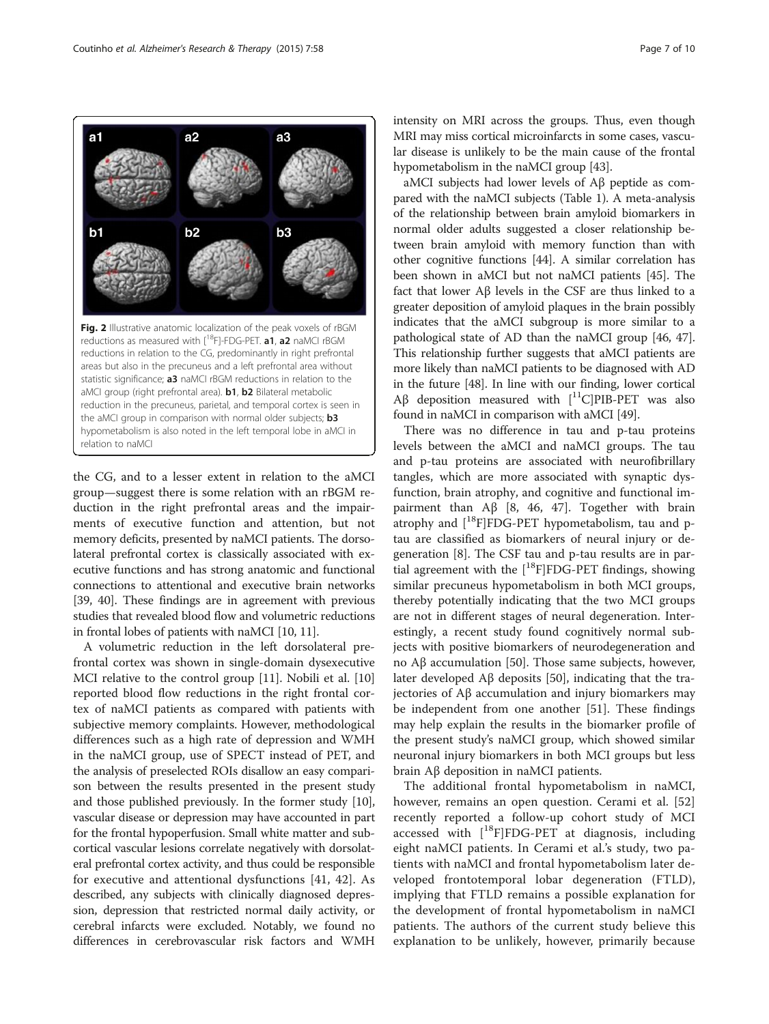the CG, and to a lesser extent in relation to the aMCI group—suggest there is some relation with an rBGM reduction in the right prefrontal areas and the impairments of executive function and attention, but not memory deficits, presented by naMCI patients. The dorsolateral prefrontal cortex is classically associated with executive functions and has strong anatomic and functional connections to attentional and executive brain networks [[39](#page-8-0), [40](#page-8-0)]. These findings are in agreement with previous studies that revealed blood flow and volumetric reductions in frontal lobes of patients with naMCI [\[10, 11\]](#page-8-0).

A volumetric reduction in the left dorsolateral prefrontal cortex was shown in single-domain dysexecutive MCI relative to the control group [[11](#page-8-0)]. Nobili et al. [[10](#page-8-0)] reported blood flow reductions in the right frontal cortex of naMCI patients as compared with patients with subjective memory complaints. However, methodological differences such as a high rate of depression and WMH in the naMCI group, use of SPECT instead of PET, and the analysis of preselected ROIs disallow an easy comparison between the results presented in the present study and those published previously. In the former study [[10](#page-8-0)], vascular disease or depression may have accounted in part for the frontal hypoperfusion. Small white matter and subcortical vascular lesions correlate negatively with dorsolateral prefrontal cortex activity, and thus could be responsible for executive and attentional dysfunctions [[41, 42](#page-8-0)]. As described, any subjects with clinically diagnosed depression, depression that restricted normal daily activity, or cerebral infarcts were excluded. Notably, we found no differences in cerebrovascular risk factors and WMH intensity on MRI across the groups. Thus, even though MRI may miss cortical microinfarcts in some cases, vascular disease is unlikely to be the main cause of the frontal hypometabolism in the naMCI group [[43](#page-8-0)].

aMCI subjects had lower levels of Aβ peptide as compared with the naMCI subjects (Table [1](#page-4-0)). A meta-analysis of the relationship between brain amyloid biomarkers in normal older adults suggested a closer relationship between brain amyloid with memory function than with other cognitive functions [\[44\]](#page-8-0). A similar correlation has been shown in aMCI but not naMCI patients [[45](#page-8-0)]. The fact that lower Aβ levels in the CSF are thus linked to a greater deposition of amyloid plaques in the brain possibly indicates that the aMCI subgroup is more similar to a pathological state of AD than the naMCI group [\[46, 47](#page-8-0)]. This relationship further suggests that aMCI patients are more likely than naMCI patients to be diagnosed with AD in the future [[48](#page-8-0)]. In line with our finding, lower cortical Aβ deposition measured with  $[11C]$ PIB-PET was also found in naMCI in comparison with aMCI [\[49\]](#page-8-0).

There was no difference in tau and p-tau proteins levels between the aMCI and naMCI groups. The tau and p-tau proteins are associated with neurofibrillary tangles, which are more associated with synaptic dysfunction, brain atrophy, and cognitive and functional im-pairment than Aβ [\[8, 46, 47](#page-8-0)]. Together with brain atrophy and  $[$ <sup>18</sup>F]FDG-PET hypometabolism, tau and ptau are classified as biomarkers of neural injury or degeneration [\[8](#page-8-0)]. The CSF tau and p-tau results are in partial agreement with the  $[$ <sup>18</sup>F]FDG-PET findings, showing similar precuneus hypometabolism in both MCI groups, thereby potentially indicating that the two MCI groups are not in different stages of neural degeneration. Interestingly, a recent study found cognitively normal subjects with positive biomarkers of neurodegeneration and no Aβ accumulation [[50\]](#page-8-0). Those same subjects, however, later developed Aβ deposits [[50\]](#page-8-0), indicating that the trajectories of Aβ accumulation and injury biomarkers may be independent from one another [\[51](#page-8-0)]. These findings may help explain the results in the biomarker profile of the present study's naMCI group, which showed similar neuronal injury biomarkers in both MCI groups but less brain Aβ deposition in naMCI patients.

The additional frontal hypometabolism in naMCI, however, remains an open question. Cerami et al. [\[52](#page-9-0)] recently reported a follow-up cohort study of MCI accessed with  $[$ <sup>18</sup>F]FDG-PET at diagnosis, including eight naMCI patients. In Cerami et al.'s study, two patients with naMCI and frontal hypometabolism later developed frontotemporal lobar degeneration (FTLD), implying that FTLD remains a possible explanation for the development of frontal hypometabolism in naMCI patients. The authors of the current study believe this explanation to be unlikely, however, primarily because



 $a2$ 

 $b2$ 

<span id="page-6-0"></span> $a<sub>1</sub>$ 

 $b<sub>1</sub>$ 

 $a3$ 

 $b3$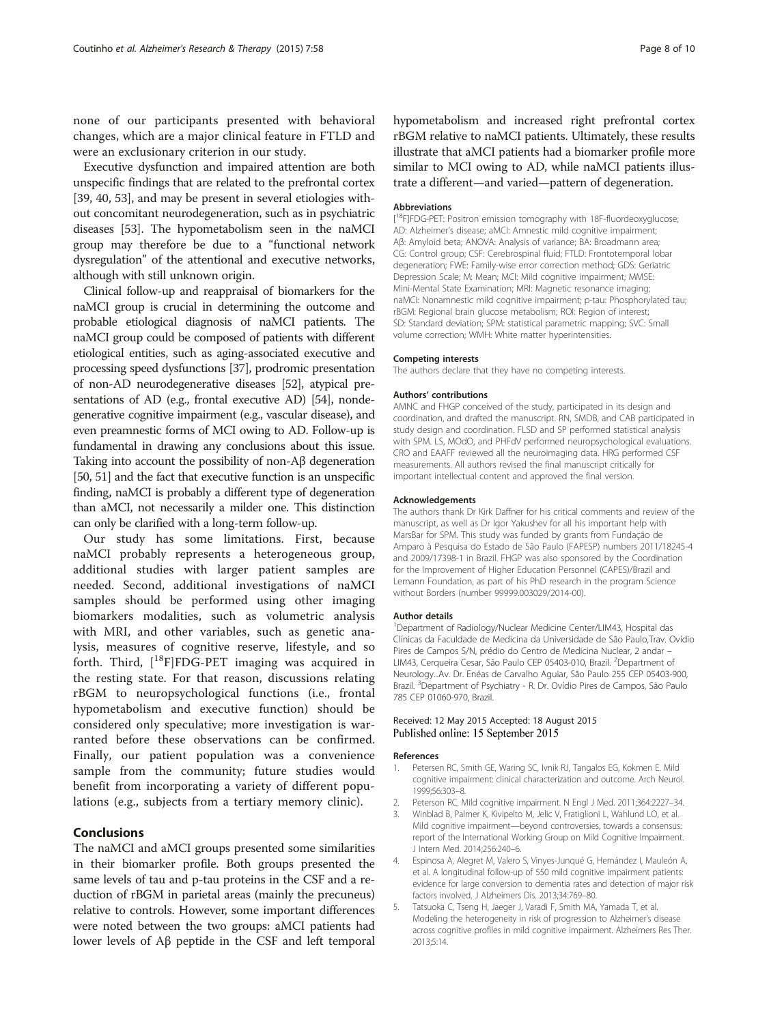<span id="page-7-0"></span>none of our participants presented with behavioral changes, which are a major clinical feature in FTLD and were an exclusionary criterion in our study.

Executive dysfunction and impaired attention are both unspecific findings that are related to the prefrontal cortex [[39](#page-8-0), [40](#page-8-0), [53\]](#page-9-0), and may be present in several etiologies without concomitant neurodegeneration, such as in psychiatric diseases [[53](#page-9-0)]. The hypometabolism seen in the naMCI group may therefore be due to a "functional network dysregulation" of the attentional and executive networks, although with still unknown origin.

Clinical follow-up and reappraisal of biomarkers for the naMCI group is crucial in determining the outcome and probable etiological diagnosis of naMCI patients. The naMCI group could be composed of patients with different etiological entities, such as aging-associated executive and processing speed dysfunctions [\[37\]](#page-8-0), prodromic presentation of non-AD neurodegenerative diseases [\[52\]](#page-9-0), atypical pre-sentations of AD (e.g., frontal executive AD) [\[54\]](#page-9-0), nondegenerative cognitive impairment (e.g., vascular disease), and even preamnestic forms of MCI owing to AD. Follow-up is fundamental in drawing any conclusions about this issue. Taking into account the possibility of non-Aβ degeneration [[50](#page-8-0), [51](#page-8-0)] and the fact that executive function is an unspecific finding, naMCI is probably a different type of degeneration than aMCI, not necessarily a milder one. This distinction can only be clarified with a long-term follow-up.

Our study has some limitations. First, because naMCI probably represents a heterogeneous group, additional studies with larger patient samples are needed. Second, additional investigations of naMCI samples should be performed using other imaging biomarkers modalities, such as volumetric analysis with MRI, and other variables, such as genetic analysis, measures of cognitive reserve, lifestyle, and so forth. Third,  $[$ <sup>18</sup>F]FDG-PET imaging was acquired in the resting state. For that reason, discussions relating rBGM to neuropsychological functions (i.e., frontal hypometabolism and executive function) should be considered only speculative; more investigation is warranted before these observations can be confirmed. Finally, our patient population was a convenience sample from the community; future studies would benefit from incorporating a variety of different populations (e.g., subjects from a tertiary memory clinic).

# Conclusions

The naMCI and aMCI groups presented some similarities in their biomarker profile. Both groups presented the same levels of tau and p-tau proteins in the CSF and a reduction of rBGM in parietal areas (mainly the precuneus) relative to controls. However, some important differences were noted between the two groups: aMCI patients had lower levels of Aβ peptide in the CSF and left temporal hypometabolism and increased right prefrontal cortex rBGM relative to naMCI patients. Ultimately, these results illustrate that aMCI patients had a biomarker profile more similar to MCI owing to AD, while naMCI patients illustrate a different—and varied—pattern of degeneration.

#### Abbreviations

[<sup>18</sup>F]FDG-PET: Positron emission tomography with 18F-fluordeoxyglucose; AD: Alzheimer's disease; aMCI: Amnestic mild cognitive impairment; Aβ: Amyloid beta; ANOVA: Analysis of variance; BA: Broadmann area; CG: Control group; CSF: Cerebrospinal fluid; FTLD: Frontotemporal lobar degeneration; FWE: Family-wise error correction method; GDS: Geriatric Depression Scale; M: Mean; MCI: Mild cognitive impairment; MMSE: Mini-Mental State Examination; MRI: Magnetic resonance imaging; naMCI: Nonamnestic mild cognitive impairment; p-tau: Phosphorylated tau; rBGM: Regional brain glucose metabolism; ROI: Region of interest; SD: Standard deviation; SPM: statistical parametric mapping; SVC: Small volume correction; WMH: White matter hyperintensities.

#### Competing interests

The authors declare that they have no competing interests.

#### Authors' contributions

AMNC and FHGP conceived of the study, participated in its design and coordination, and drafted the manuscript. RN, SMDB, and CAB participated in study design and coordination. FLSD and SP performed statistical analysis with SPM. LS, MOdO, and PHFdV performed neuropsychological evaluations. CRO and EAAFF reviewed all the neuroimaging data. HRG performed CSF measurements. All authors revised the final manuscript critically for important intellectual content and approved the final version.

#### Acknowledgements

The authors thank Dr Kirk Daffner for his critical comments and review of the manuscript, as well as Dr Igor Yakushev for all his important help with MarsBar for SPM. This study was funded by grants from Fundação de Amparo à Pesquisa do Estado de São Paulo (FAPESP) numbers 2011/18245-4 and 2009/17398-1 in Brazil. FHGP was also sponsored by the Coordination for the Improvement of Higher Education Personnel (CAPES)/Brazil and Lemann Foundation, as part of his PhD research in the program Science without Borders (number 99999.003029/2014-00).

#### Author details

<sup>1</sup>Department of Radiology/Nuclear Medicine Center/LIM43, Hospital das Clínicas da Faculdade de Medicina da Universidade de São Paulo,Trav. Ovídio Pires de Campos S/N, prédio do Centro de Medicina Nuclear, 2 andar – LIM43, Cerqueira Cesar, São Paulo CEP 05403-010, Brazil. <sup>2</sup>Department of Neurology...Av. Dr. Enéas de Carvalho Aguiar, São Paulo 255 CEP 05403-900, Brazil. <sup>3</sup> Department of Psychiatry - R. Dr. Ovídio Pires de Campos, São Paulo 785 CEP 01060-970, Brazil.

#### Received: 12 May 2015 Accepted: 18 August 2015 Published online: 15 September 2015

#### References

- 1. Petersen RC, Smith GE, Waring SC, Ivnik RJ, Tangalos EG, Kokmen E. Mild cognitive impairment: clinical characterization and outcome. Arch Neurol. 1999;56:303–8.
- 2. Peterson RC. Mild cognitive impairment. N Engl J Med. 2011;364:2227–34.
- 3. Winblad B, Palmer K, Kivipelto M, Jelic V, Fratiglioni L, Wahlund LO, et al. Mild cognitive impairment—beyond controversies, towards a consensus: report of the International Working Group on Mild Cognitive Impairment. J Intern Med. 2014;256:240–6.
- 4. Espinosa A, Alegret M, Valero S, Vinyes-Junqué G, Hernández I, Mauleón A, et al. A longitudinal follow-up of 550 mild cognitive impairment patients: evidence for large conversion to dementia rates and detection of major risk factors involved. J Alzheimers Dis. 2013;34:769–80.
- 5. Tatsuoka C, Tseng H, Jaeger J, Varadi F, Smith MA, Yamada T, et al. Modeling the heterogeneity in risk of progression to Alzheimer's disease across cognitive profiles in mild cognitive impairment. Alzheimers Res Ther. 2013;5:14.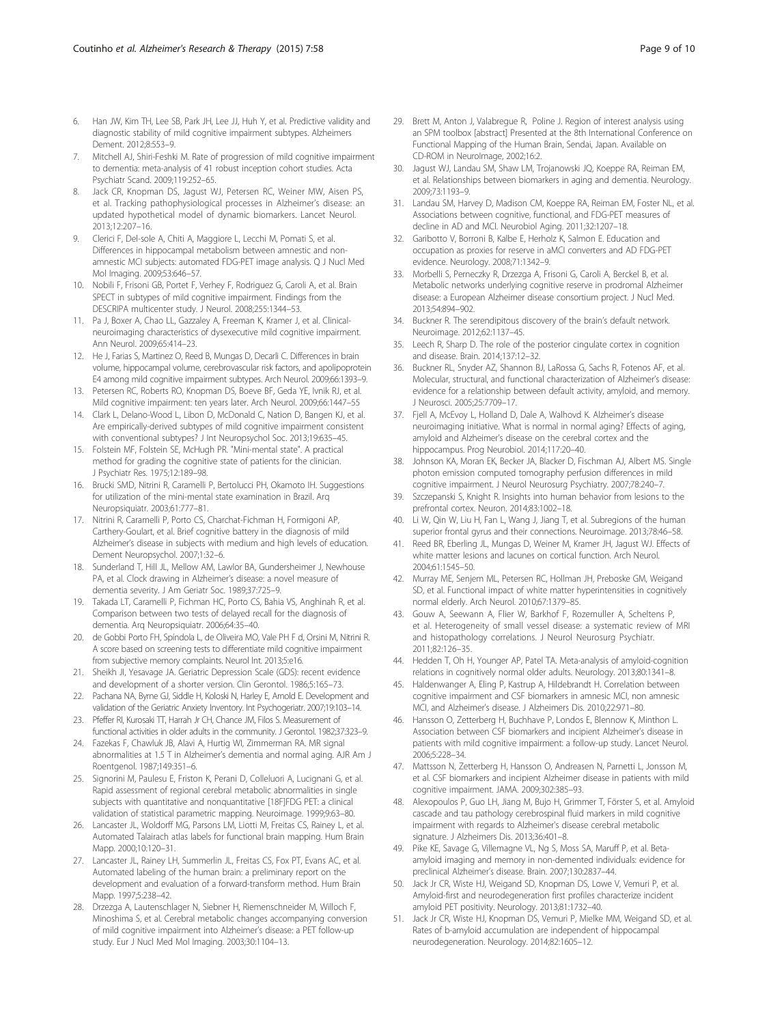- <span id="page-8-0"></span>7. Mitchell AJ, Shiri-Feshki M. Rate of progression of mild cognitive impairment to dementia: meta-analysis of 41 robust inception cohort studies. Acta Psychiatr Scand. 2009;119:252–65.
- 8. Jack CR, Knopman DS, Jagust WJ, Petersen RC, Weiner MW, Aisen PS, et al. Tracking pathophysiological processes in Alzheimer's disease: an updated hypothetical model of dynamic biomarkers. Lancet Neurol. 2013;12:207–16.
- 9. Clerici F, Del-sole A, Chiti A, Maggiore L, Lecchi M, Pomati S, et al. Differences in hippocampal metabolism between amnestic and nonamnestic MCI subjects: automated FDG-PET image analysis. Q J Nucl Med Mol Imaging. 2009;53:646–57.
- 10. Nobili F, Frisoni GB, Portet F, Verhey F, Rodriguez G, Caroli A, et al. Brain SPECT in subtypes of mild cognitive impairment. Findings from the DESCRIPA multicenter study. J Neurol. 2008;255:1344–53.
- 11. Pa J, Boxer A, Chao LL, Gazzaley A, Freeman K, Kramer J, et al. Clinicalneuroimaging characteristics of dysexecutive mild cognitive impairment. Ann Neurol. 2009;65:414–23.
- 12. He J, Farias S, Martinez O, Reed B, Mungas D, Decarli C. Differences in brain volume, hippocampal volume, cerebrovascular risk factors, and apolipoprotein E4 among mild cognitive impairment subtypes. Arch Neurol. 2009;66:1393–9.
- 13. Petersen RC, Roberts RO, Knopman DS, Boeve BF, Geda YE, Ivnik RJ, et al. Mild cognitive impairment: ten years later. Arch Neurol. 2009;66:1447–55
- 14. Clark L, Delano-Wood L, Libon D, McDonald C, Nation D, Bangen KJ, et al. Are empirically-derived subtypes of mild cognitive impairment consistent with conventional subtypes? J Int Neuropsychol Soc. 2013;19:635–45.
- 15. Folstein MF, Folstein SE, McHugh PR. "Mini-mental state". A practical method for grading the cognitive state of patients for the clinician. J Psychiatr Res. 1975;12:189–98.
- 16. Brucki SMD, Nitrini R, Caramelli P, Bertolucci PH, Okamoto IH. Suggestions for utilization of the mini-mental state examination in Brazil. Arq Neuropsiquiatr. 2003;61:777–81.
- 17. Nitrini R, Caramelli P, Porto CS, Charchat-Fichman H, Formigoni AP, Carthery-Goulart, et al. Brief cognitive battery in the diagnosis of mild Alzheimer's disease in subjects with medium and high levels of education. Dement Neuropsychol. 2007;1:32–6.
- 18. Sunderland T, Hill JL, Mellow AM, Lawlor BA, Gundersheimer J, Newhouse PA, et al. Clock drawing in Alzheimer's disease: a novel measure of dementia severity. J Am Geriatr Soc. 1989;37:725–9.
- 19. Takada LT, Caramelli P, Fichman HC, Porto CS, Bahia VS, Anghinah R, et al. Comparison between two tests of delayed recall for the diagnosis of dementia. Arq Neuropsiquiatr. 2006;64:35–40.
- 20. de Gobbi Porto FH, Spíndola L, de Oliveira MO, Vale PH F d, Orsini M, Nitrini R. A score based on screening tests to differentiate mild cognitive impairment from subjective memory complaints. Neurol Int. 2013;5:e16.
- 21. Sheikh JI, Yesavage JA. Geriatric Depression Scale (GDS): recent evidence and development of a shorter version. Clin Gerontol. 1986;5:165–73.
- 22. Pachana NA, Byrne GJ, Siddle H, Koloski N, Harley E, Arnold E. Development and validation of the Geriatric Anxiety Inventory. Int Psychogeriatr. 2007;19:103–14.
- 23. Pfeffer RI, Kurosaki TT, Harrah Jr CH, Chance JM, Filos S. Measurement of functional activities in older adults in the community. J Gerontol. 1982;37:323–9.
- 24. Fazekas F, Chawluk JB, Alavi A, Hurtig WI, Zimmerman RA. MR signal abnormalities at 1.5 T in Alzheimer's dementia and normal aging. AJR Am J Roentgenol. 1987;149:351–6.
- 25. Signorini M, Paulesu E, Friston K, Perani D, Colleluori A, Lucignani G, et al. Rapid assessment of regional cerebral metabolic abnormalities in single subjects with quantitative and nonquantitative [18F]FDG PET: a clinical validation of statistical parametric mapping. Neuroimage. 1999;9:63–80.
- 26. Lancaster JL, Woldorff MG, Parsons LM, Liotti M, Freitas CS, Rainey L, et al. Automated Talairach atlas labels for functional brain mapping. Hum Brain Mapp. 2000;10:120–31.
- 27. Lancaster JL, Rainey LH, Summerlin JL, Freitas CS, Fox PT, Evans AC, et al. Automated labeling of the human brain: a preliminary report on the development and evaluation of a forward-transform method. Hum Brain Mapp. 1997;5:238–42.
- 28. Drzezga A, Lautenschlager N, Siebner H, Riemenschneider M, Willoch F, Minoshima S, et al. Cerebral metabolic changes accompanying conversion of mild cognitive impairment into Alzheimer's disease: a PET follow-up study. Eur J Nucl Med Mol Imaging. 2003;30:1104–13.
- 29. Brett M, Anton J, Valabregue R, Poline J. Region of interest analysis using an SPM toolbox [abstract] Presented at the 8th International Conference on Functional Mapping of the Human Brain, Sendai, Japan. Available on CD-ROM in NeuroImage, 2002;16:2.
- 30. Jagust WJ, Landau SM, Shaw LM, Trojanowski JQ, Koeppe RA, Reiman EM, et al. Relationships between biomarkers in aging and dementia. Neurology. 2009;73:1193–9.
- 31. Landau SM, Harvey D, Madison CM, Koeppe RA, Reiman EM, Foster NL, et al. Associations between cognitive, functional, and FDG-PET measures of decline in AD and MCI. Neurobiol Aging. 2011;32:1207–18.
- 32. Garibotto V, Borroni B, Kalbe E, Herholz K, Salmon E. Education and occupation as proxies for reserve in aMCI converters and AD FDG-PET evidence. Neurology. 2008;71:1342–9.
- 33. Morbelli S, Perneczky R, Drzezga A, Frisoni G, Caroli A, Berckel B, et al. Metabolic networks underlying cognitive reserve in prodromal Alzheimer disease: a European Alzheimer disease consortium project. J Nucl Med. 2013;54:894–902.
- 34. Buckner R. The serendipitous discovery of the brain's default network. Neuroimage. 2012;62:1137–45.
- 35. Leech R, Sharp D. The role of the posterior cingulate cortex in cognition and disease. Brain. 2014;137:12–32.
- 36. Buckner RL, Snyder AZ, Shannon BJ, LaRossa G, Sachs R, Fotenos AF, et al. Molecular, structural, and functional characterization of Alzheimer's disease: evidence for a relationship between default activity, amyloid, and memory. J Neurosci. 2005;25:7709–17.
- 37. Fjell A, McEvoy L, Holland D, Dale A, Walhovd K. Alzheimer's disease neuroimaging initiative. What is normal in normal aging? Effects of aging, amyloid and Alzheimer's disease on the cerebral cortex and the hippocampus. Prog Neurobiol. 2014;117:20–40.
- 38. Johnson KA, Moran EK, Becker JA, Blacker D, Fischman AJ, Albert MS. Single photon emission computed tomography perfusion differences in mild cognitive impairment. J Neurol Neurosurg Psychiatry. 2007;78:240–7.
- 39. Szczepanski S, Knight R. Insights into human behavior from lesions to the prefrontal cortex. Neuron. 2014;83:1002–18.
- 40. Li W, Qin W, Liu H, Fan L, Wang J, Jiang T, et al. Subregions of the human superior frontal gyrus and their connections. Neuroimage. 2013;78:46–58.
- 41. Reed BR, Eberling JL, Mungas D, Weiner M, Kramer JH, Jagust WJ. Effects of white matter lesions and lacunes on cortical function. Arch Neurol. 2004;61:1545–50.
- 42. Murray ME, Senjem ML, Petersen RC, Hollman JH, Preboske GM, Weigand SD, et al. Functional impact of white matter hyperintensities in cognitively normal elderly. Arch Neurol. 2010;67:1379–85.
- 43. Gouw A, Seewann A, Flier W, Barkhof F, Rozemuller A, Scheltens P, et al. Heterogeneity of small vessel disease: a systematic review of MRI and histopathology correlations. J Neurol Neurosurg Psychiatr. 2011;82:126–35.
- 44. Hedden T, Oh H, Younger AP, Patel TA. Meta-analysis of amyloid-cognition relations in cognitively normal older adults. Neurology. 2013;80:1341–8.
- 45. Haldenwanger A, Eling P, Kastrup A, Hildebrandt H. Correlation between cognitive impairment and CSF biomarkers in amnesic MCI, non amnesic MCI, and Alzheimer's disease. J Alzheimers Dis. 2010;22:971–80.
- 46. Hansson O, Zetterberg H, Buchhave P, Londos E, Blennow K, Minthon L. Association between CSF biomarkers and incipient Alzheimer's disease in patients with mild cognitive impairment: a follow-up study. Lancet Neurol. 2006;5:228–34.
- 47. Mattsson N, Zetterberg H, Hansson O, Andreasen N, Parnetti L, Jonsson M, et al. CSF biomarkers and incipient Alzheimer disease in patients with mild cognitive impairment. JAMA. 2009;302:385–93.
- 48. Alexopoulos P, Guo LH, Jiang M, Bujo H, Grimmer T, Förster S, et al. Amyloid cascade and tau pathology cerebrospinal fluid markers in mild cognitive impairment with regards to Alzheimer's disease cerebral metabolic signature. J Alzheimers Dis. 2013;36:401–8.
- 49. Pike KE, Savage G, Villemagne VL, Ng S, Moss SA, Maruff P, et al. Betaamyloid imaging and memory in non-demented individuals: evidence for preclinical Alzheimer's disease. Brain. 2007;130:2837–44.
- 50. Jack Jr CR, Wiste HJ, Weigand SD, Knopman DS, Lowe V, Vemuri P, et al. Amyloid-first and neurodegeneration first profiles characterize incident amyloid PET positivity. Neurology. 2013;81:1732–40.
- 51. Jack Jr CR, Wiste HJ, Knopman DS, Vemuri P, Mielke MM, Weigand SD, et al. Rates of b-amyloid accumulation are independent of hippocampal neurodegeneration. Neurology. 2014;82:1605–12.